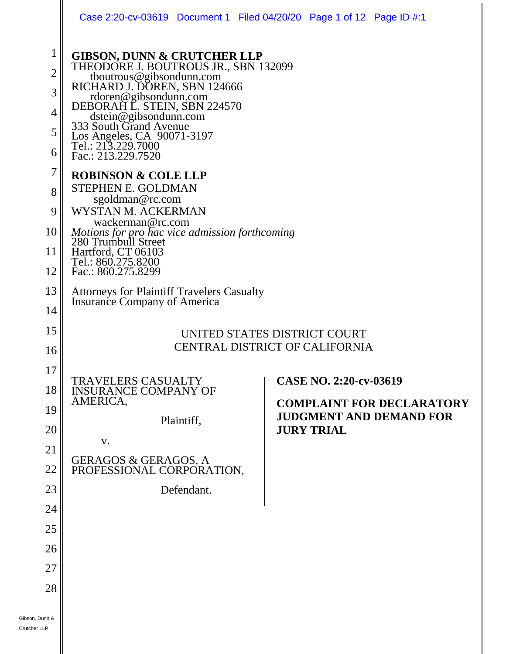|                                                                                                 |                                                                                                                                                                                                                                                                                                                                                                                                                                                                                                                                                                                                                                      | Case 2:20-cv-03619 Document 1 Filed 04/20/20 Page 1 of 12 Page ID #:1                                             |
|-------------------------------------------------------------------------------------------------|--------------------------------------------------------------------------------------------------------------------------------------------------------------------------------------------------------------------------------------------------------------------------------------------------------------------------------------------------------------------------------------------------------------------------------------------------------------------------------------------------------------------------------------------------------------------------------------------------------------------------------------|-------------------------------------------------------------------------------------------------------------------|
| $\mathbf 1$<br>$\overline{2}$<br>3<br>$\overline{4}$<br>5<br>6<br>7<br>8<br>9<br>10<br>11<br>12 | <b>GIBSON, DUNN &amp; CRUTCHER LLP</b><br>THEODORE J. BOUTROUS JR., SBN 132099<br>thoutrous@gibsondunn.com<br>RICHARD J. DOREN, SBN 124666<br>rdoren@gibsondunn.com<br>DEBORAH L. STEIN, SBN 224570<br>dstein@gibsondunn.com<br>333 South Grand Avenue<br>Los Angeles CA 00071.2107<br>Los Angeles, CA 90071-3197<br>Tel.: 213.229.7000<br>Fac.: 213.229.7520<br><b>ROBINSON &amp; COLE LLP</b><br><b>STEPHEN E. GOLDMAN</b><br>sgoldman@rc.com<br>WYSTAN M. ACKERMAN<br>wackerman@rc.com<br>Motions for pro hac vice admission forthcoming<br>280 Trumbull Street<br>Hartford, CT 06103<br>Tel.: 860.275.8200<br>Fac.: 860.275.8299 |                                                                                                                   |
| 13<br>14                                                                                        | <b>Attorneys for Plaintiff Travelers Casualty</b><br>Insurance Company of America<br>UNITED STATES DISTRICT COURT<br><b>CENTRAL DISTRICT OF CALIFORNIA</b>                                                                                                                                                                                                                                                                                                                                                                                                                                                                           |                                                                                                                   |
| 15<br>16                                                                                        |                                                                                                                                                                                                                                                                                                                                                                                                                                                                                                                                                                                                                                      |                                                                                                                   |
| 17<br>18<br>19<br>20<br>21<br>22<br>23<br>24<br>25<br>26<br>27<br>28                            | <b>TRAVELERS CASUALTY</b><br><b>INSURANCE COMPANY OF</b><br>AMERICA,<br>Plaintiff,<br>V.<br><b>GERAGOS &amp; GERAGOS, A</b><br>PROFESSIONAL CORPORATION,<br>Defendant.                                                                                                                                                                                                                                                                                                                                                                                                                                                               | CASE NO. 2:20-cv-03619<br><b>COMPLAINT FOR DECLARATORY</b><br><b>JUDGMENT AND DEMAND FOR</b><br><b>JURY TRIAL</b> |
| Gibson, Dunn &<br>Crutcher LLP                                                                  |                                                                                                                                                                                                                                                                                                                                                                                                                                                                                                                                                                                                                                      |                                                                                                                   |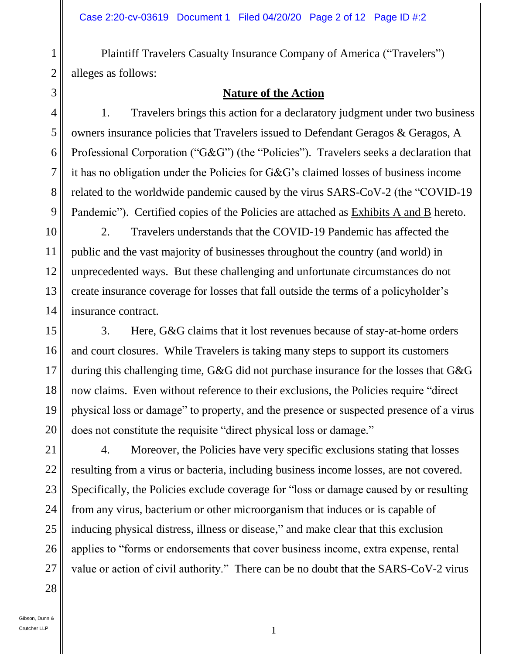Plaintiff Travelers Casualty Insurance Company of America ("Travelers") alleges as follows:

#### **Nature of the Action**

1. Travelers brings this action for a declaratory judgment under two business owners insurance policies that Travelers issued to Defendant Geragos & Geragos, A Professional Corporation ("G&G") (the "Policies"). Travelers seeks a declaration that it has no obligation under the Policies for G&G's claimed losses of business income related to the worldwide pandemic caused by the virus SARS-CoV-2 (the "COVID-19 Pandemic"). Certified copies of the Policies are attached as Exhibits A and B hereto.

2. Travelers understands that the COVID-19 Pandemic has affected the public and the vast majority of businesses throughout the country (and world) in unprecedented ways. But these challenging and unfortunate circumstances do not create insurance coverage for losses that fall outside the terms of a policyholder's insurance contract.

3. Here, G&G claims that it lost revenues because of stay-at-home orders and court closures. While Travelers is taking many steps to support its customers during this challenging time, G&G did not purchase insurance for the losses that G&G now claims. Even without reference to their exclusions, the Policies require "direct physical loss or damage" to property, and the presence or suspected presence of a virus does not constitute the requisite "direct physical loss or damage."

4. Moreover, the Policies have very specific exclusions stating that losses resulting from a virus or bacteria, including business income losses, are not covered. Specifically, the Policies exclude coverage for "loss or damage caused by or resulting from any virus, bacterium or other microorganism that induces or is capable of inducing physical distress, illness or disease," and make clear that this exclusion applies to "forms or endorsements that cover business income, extra expense, rental value or action of civil authority." There can be no doubt that the SARS-CoV-2 virus

1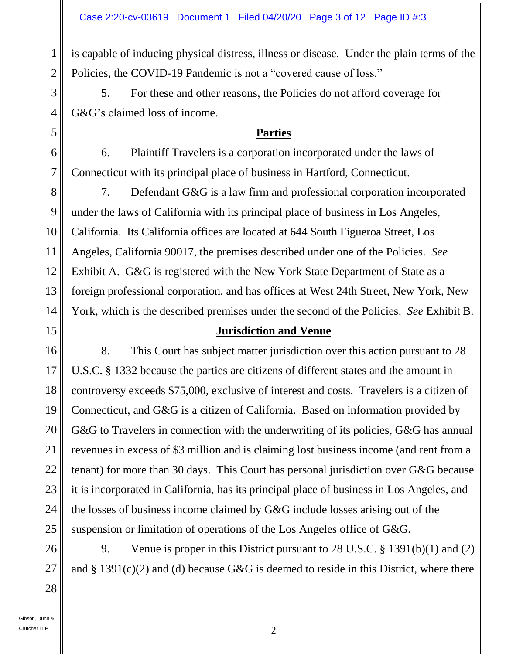is capable of inducing physical distress, illness or disease. Under the plain terms of the Policies, the COVID-19 Pandemic is not a "covered cause of loss."

5. For these and other reasons, the Policies do not afford coverage for G&G's claimed loss of income.

# **Parties**

6. Plaintiff Travelers is a corporation incorporated under the laws of Connecticut with its principal place of business in Hartford, Connecticut.

8 9 7. Defendant G&G is a law firm and professional corporation incorporated under the laws of California with its principal place of business in Los Angeles, California. Its California offices are located at 644 South Figueroa Street, Los Angeles, California 90017, the premises described under one of the Policies. *See* Exhibit A. G&G is registered with the New York State Department of State as a foreign professional corporation, and has offices at West 24th Street, New York, New York, which is the described premises under the second of the Policies. *See* Exhibit B.

# **Jurisdiction and Venue**

8. This Court has subject matter jurisdiction over this action pursuant to 28 U.S.C. § 1332 because the parties are citizens of different states and the amount in controversy exceeds \$75,000, exclusive of interest and costs. Travelers is a citizen of Connecticut, and G&G is a citizen of California. Based on information provided by G&G to Travelers in connection with the underwriting of its policies, G&G has annual revenues in excess of \$3 million and is claiming lost business income (and rent from a tenant) for more than 30 days. This Court has personal jurisdiction over G&G because it is incorporated in California, has its principal place of business in Los Angeles, and the losses of business income claimed by G&G include losses arising out of the suspension or limitation of operations of the Los Angeles office of G&G.

9. Venue is proper in this District pursuant to 28 U.S.C. § 1391(b)(1) and (2) and  $\S 1391(c)(2)$  and (d) because G&G is deemed to reside in this District, where there

1

2

3

4

5

6

7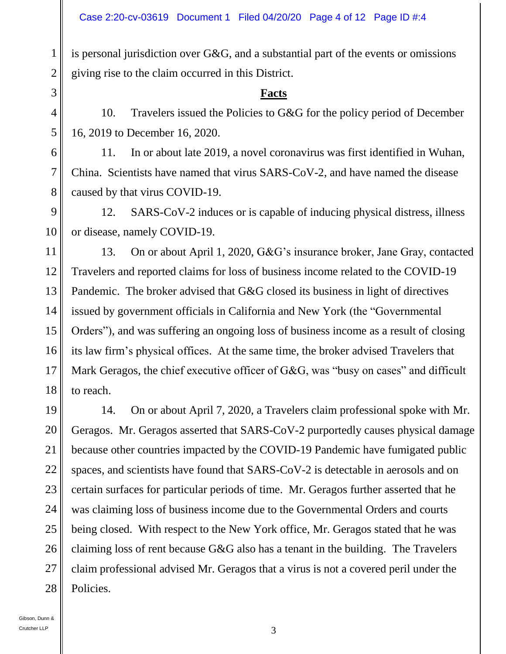is personal jurisdiction over G&G, and a substantial part of the events or omissions giving rise to the claim occurred in this District.

#### **Facts**

10. Travelers issued the Policies to G&G for the policy period of December 16, 2019 to December 16, 2020.

11. In or about late 2019, a novel coronavirus was first identified in Wuhan, China. Scientists have named that virus SARS-CoV-2, and have named the disease caused by that virus COVID-19.

12. SARS-CoV-2 induces or is capable of inducing physical distress, illness or disease, namely COVID-19.

13. On or about April 1, 2020, G&G's insurance broker, Jane Gray, contacted Travelers and reported claims for loss of business income related to the COVID-19 Pandemic. The broker advised that G&G closed its business in light of directives issued by government officials in California and New York (the "Governmental Orders"), and was suffering an ongoing loss of business income as a result of closing its law firm's physical offices. At the same time, the broker advised Travelers that Mark Geragos, the chief executive officer of G&G, was "busy on cases" and difficult to reach.

27 28 14. On or about April 7, 2020, a Travelers claim professional spoke with Mr. Geragos. Mr. Geragos asserted that SARS-CoV-2 purportedly causes physical damage because other countries impacted by the COVID-19 Pandemic have fumigated public spaces, and scientists have found that SARS-CoV-2 is detectable in aerosols and on certain surfaces for particular periods of time. Mr. Geragos further asserted that he was claiming loss of business income due to the Governmental Orders and courts being closed. With respect to the New York office, Mr. Geragos stated that he was claiming loss of rent because G&G also has a tenant in the building. The Travelers claim professional advised Mr. Geragos that a virus is not a covered peril under the Policies.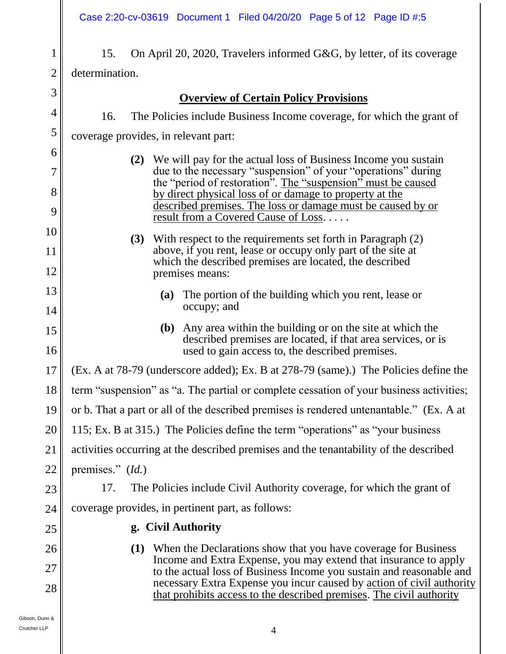15. On April 20, 2020, Travelers informed G&G, by letter, of its coverage determination.

### **Overview of Certain Policy Provisions**

16. The Policies include Business Income coverage, for which the grant of

coverage provides, in relevant part:

- **(2)** We will pay for the actual loss of Business Income you sustain due to the necessary "suspension" of your "operations" during the "period of restoration". The "suspension" must be caused by direct physical loss of or damage to property at the described premises. The loss or damage must be caused by or result from a Covered Cause of Loss. . . . .
- **(3)** With respect to the requirements set forth in Paragraph (2) above, if you rent, lease or occupy only part of the site at which the described premises are located, the described premises means:
	- **(a)** The portion of the building which you rent, lease or occupy; and
	- **(b)** Any area within the building or on the site at which the described premises are located, if that area services, or is used to gain access to, the described premises.

#### 17 (Ex. A at 78-79 (underscore added); Ex. B at 278-79 (same).) The Policies define the

- 18 term "suspension" as "a. The partial or complete cessation of your business activities;
- 19 or b. That a part or all of the described premises is rendered untenantable." (Ex. A at
- 20 115; Ex. B at 315.) The Policies define the term "operations" as "your business

21 activities occurring at the described premises and the tenantability of the described

17. The Policies include Civil Authority coverage, for which the grant of

22 premises." (*Id.*)

23

24

25

26

27

28

1

2

3

4

5

6

7

8

9

10

11

12

13

14

15

16

coverage provides, in pertinent part, as follows:

# **g. Civil Authority**

**(1)** When the Declarations show that you have coverage for Business Income and Extra Expense, you may extend that insurance to apply to the actual loss of Business Income you sustain and reasonable and necessary Extra Expense you incur caused by action of civil authority that prohibits access to the described premises. The civil authority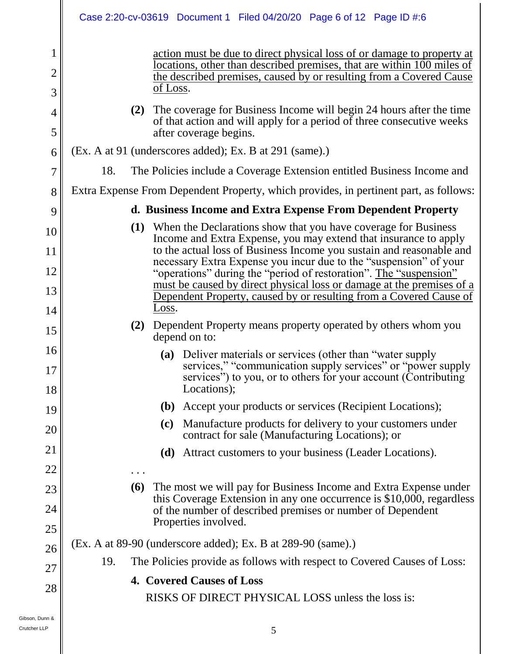|                     | Case 2:20-cv-03619 Document 1 Filed 04/20/20 Page 6 of 12 Page ID #:6                                                                                                                                                               |  |
|---------------------|-------------------------------------------------------------------------------------------------------------------------------------------------------------------------------------------------------------------------------------|--|
| 1<br>$\overline{2}$ | action must be due to direct physical loss of or damage to property at<br>locations, other than described premises, that are within 100 miles of<br>the described premises, caused by or resulting from a Covered Cause<br>of Loss. |  |
| 3                   |                                                                                                                                                                                                                                     |  |
| $\overline{4}$<br>5 | (2) The coverage for Business Income will begin 24 hours after the time<br>of that action and will apply for a period of three consecutive weeks<br>after coverage begins.                                                          |  |
| 6                   | (Ex. A at 91 (underscores added); Ex. B at 291 (same).)                                                                                                                                                                             |  |
| 7                   | 18.<br>The Policies include a Coverage Extension entitled Business Income and                                                                                                                                                       |  |
| 8                   | Extra Expense From Dependent Property, which provides, in pertinent part, as follows:                                                                                                                                               |  |
| 9                   | d. Business Income and Extra Expense From Dependent Property                                                                                                                                                                        |  |
| 10                  | (1) When the Declarations show that you have coverage for Business                                                                                                                                                                  |  |
| 11                  | Income and Extra Expense, you may extend that insurance to apply<br>to the actual loss of Business Income you sustain and reasonable and                                                                                            |  |
| 12                  | necessary Extra Expense you incur due to the "suspension" of your<br>"operations" during the "period of restoration". The "suspension"                                                                                              |  |
| 13                  | must be caused by direct physical loss or damage at the premises of a<br>Dependent Property, caused by or resulting from a Covered Cause of                                                                                         |  |
| 14                  | Loss.                                                                                                                                                                                                                               |  |
| 15                  | (2) Dependent Property means property operated by others whom you<br>depend on to:                                                                                                                                                  |  |
| 16<br>17            | (a) Deliver materials or services (other than "water supply<br>services," "communication supply services" or "power supply<br>services") to you, or to others for your account (Contributing                                        |  |
| 18                  | Locations);                                                                                                                                                                                                                         |  |
| 19                  | Accept your products or services (Recipient Locations);<br><b>(b)</b>                                                                                                                                                               |  |
| 20                  | Manufacture products for delivery to your customers under<br>(c)<br>contract for sale (Manufacturing Locations); or                                                                                                                 |  |
| 21                  | Attract customers to your business (Leader Locations).<br>(d)                                                                                                                                                                       |  |
| 22                  | .                                                                                                                                                                                                                                   |  |
| 23                  | The most we will pay for Business Income and Extra Expense under<br><b>(6)</b><br>this Coverage Extension in any one occurrence is \$10,000, regardless                                                                             |  |
| 24                  | of the number of described premises or number of Dependent                                                                                                                                                                          |  |
| 25                  | Properties involved.                                                                                                                                                                                                                |  |
| 26                  | (Ex. A at 89-90 (underscore added); Ex. B at 289-90 (same).)                                                                                                                                                                        |  |
| 27                  | The Policies provide as follows with respect to Covered Causes of Loss:<br>19.                                                                                                                                                      |  |
| 28                  | <b>4. Covered Causes of Loss</b>                                                                                                                                                                                                    |  |
|                     | RISKS OF DIRECT PHYSICAL LOSS unless the loss is:                                                                                                                                                                                   |  |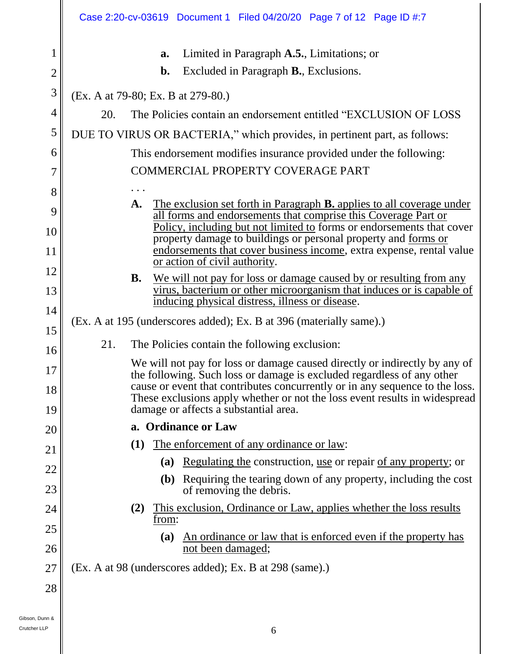|                     | Case 2:20-cv-03619 Document 1 Filed 04/20/20 Page 7 of 12 Page ID #:7                                                                                    |  |  |
|---------------------|----------------------------------------------------------------------------------------------------------------------------------------------------------|--|--|
| 1<br>$\overline{2}$ | Limited in Paragraph A.5., Limitations; or<br>a.<br>Excluded in Paragraph <b>B.</b> , Exclusions.<br>$\mathbf{b}$ .                                      |  |  |
| 3                   | (Ex. A at 79-80; Ex. B at 279-80.)                                                                                                                       |  |  |
| 4                   | The Policies contain an endorsement entitled "EXCLUSION OF LOSS"<br>20.                                                                                  |  |  |
| 5                   | DUE TO VIRUS OR BACTERIA," which provides, in pertinent part, as follows:                                                                                |  |  |
| 6                   | This endorsement modifies insurance provided under the following:                                                                                        |  |  |
| 7                   | COMMERCIAL PROPERTY COVERAGE PART                                                                                                                        |  |  |
| 8                   |                                                                                                                                                          |  |  |
| 9                   | A. The exclusion set forth in Paragraph <b>B.</b> applies to all coverage under<br>all forms and endorsements that comprise this Coverage Part or        |  |  |
| 10                  | Policy, including but not limited to forms or endorsements that cover                                                                                    |  |  |
| 11                  | property damage to buildings or personal property and forms or<br>endorsements that cover business income, extra expense, rental value                   |  |  |
| 12                  | or action of civil authority.                                                                                                                            |  |  |
| 13                  | <b>B.</b><br>We will not pay for loss or damage caused by or resulting from any<br>virus, bacterium or other microorganism that induces or is capable of |  |  |
| 14                  | inducing physical distress, illness or disease.                                                                                                          |  |  |
| 15                  | (Ex. A at 195 (underscores added); Ex. B at 396 (materially same).)<br>The Policies contain the following exclusion:<br>21.                              |  |  |
| 16                  |                                                                                                                                                          |  |  |
| 17                  | We will not pay for loss or damage caused directly or indirectly by any of                                                                               |  |  |
| 18                  | the following. Such loss or damage is excluded regardless of any other<br>cause or event that contributes concurrently or in any sequence to the loss.   |  |  |
| 19                  | These exclusions apply whether or not the loss event results in widespread<br>damage or affects a substantial area.                                      |  |  |
| 20                  | a. Ordinance or Law                                                                                                                                      |  |  |
| 21                  | The enforcement of any ordinance or law:<br>(1)                                                                                                          |  |  |
| 22                  | (a) Regulating the construction, use or repair of any property; or                                                                                       |  |  |
| 23                  | Requiring the tearing down of any property, including the cost<br><b>(b)</b><br>of removing the debris.                                                  |  |  |
| 24                  | This exclusion, Ordinance or Law, applies whether the loss results<br>(2)                                                                                |  |  |
| 25                  | from:                                                                                                                                                    |  |  |
| 26                  | An ordinance or law that is enforced even if the property has<br><b>(a)</b><br>not been damaged;                                                         |  |  |
| 27                  | (Ex. A at 98 (underscores added); Ex. B at 298 (same).)                                                                                                  |  |  |
| 28                  |                                                                                                                                                          |  |  |
|                     |                                                                                                                                                          |  |  |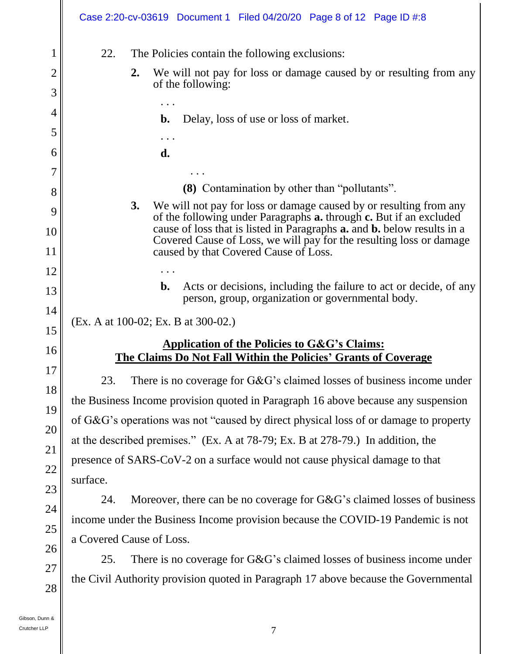|                                                                        | Case 2:20-cv-03619 Document 1 Filed 04/20/20 Page 8 of 12 Page ID #:8                                                                                                                                                                                                                                                                                                                                                                                                                                                          |
|------------------------------------------------------------------------|--------------------------------------------------------------------------------------------------------------------------------------------------------------------------------------------------------------------------------------------------------------------------------------------------------------------------------------------------------------------------------------------------------------------------------------------------------------------------------------------------------------------------------|
| $\mathbf 1$<br>2<br>3                                                  | 22.<br>The Policies contain the following exclusions:<br>We will not pay for loss or damage caused by or resulting from any<br>$2_{\bullet}$<br>of the following:                                                                                                                                                                                                                                                                                                                                                              |
| 4<br>5<br>6<br>7<br>8<br>9<br>$\overline{0}$<br>$\overline{1}$         | $\mathbf{b}$ .<br>Delay, loss of use or loss of market.<br>d.<br>(8) Contamination by other than "pollutants".<br>We will not pay for loss or damage caused by or resulting from any<br>3.<br>of the following under Paragraphs <b>a.</b> through <b>c.</b> But if an excluded<br>cause of loss that is listed in Paragraphs <b>a.</b> and <b>b.</b> below results in a<br>Covered Cause of Loss, we will pay for the resulting loss or damage<br>caused by that Covered Cause of Loss.                                        |
| $\overline{2}$<br>3<br>$\lfloor 4$                                     | Acts or decisions, including the failure to act or decide, of any<br>$\mathbf{b}$ .<br>person, group, organization or governmental body.<br>(Ex. A at 100-02; Ex. B at 300-02.)                                                                                                                                                                                                                                                                                                                                                |
| 5<br>$6 \sigma$                                                        | <b>Application of the Policies to G&amp;G's Claims:</b><br>The Claims Do Not Fall Within the Policies' Grants of Coverage                                                                                                                                                                                                                                                                                                                                                                                                      |
| l 7<br>8 <sup>1</sup><br>19<br>20 <sup>°</sup><br>21<br>22<br>23<br>24 | There is no coverage for $G\&G$ 's claimed losses of business income under<br>23.<br>the Business Income provision quoted in Paragraph 16 above because any suspension<br>of G&G's operations was not "caused by direct physical loss of or damage to property<br>at the described premises." (Ex. A at 78-79; Ex. B at 278-79.) In addition, the<br>presence of SARS-CoV-2 on a surface would not cause physical damage to that<br>surface.<br>Moreover, there can be no coverage for G&G's claimed losses of business<br>24. |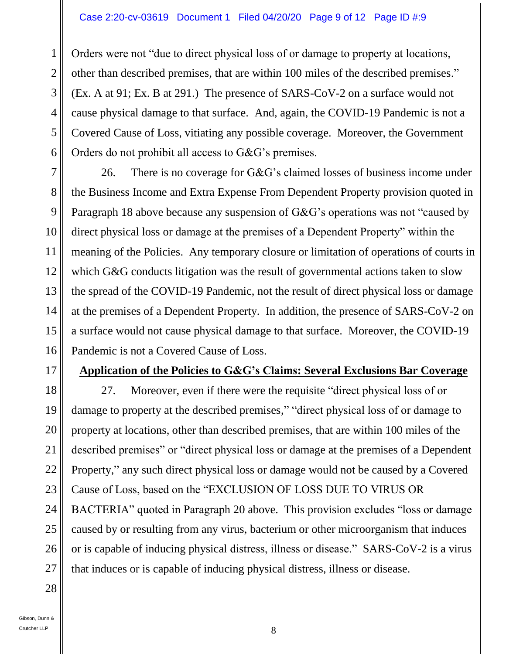Orders were not "due to direct physical loss of or damage to property at locations, other than described premises, that are within 100 miles of the described premises." (Ex. A at 91; Ex. B at 291.) The presence of SARS-CoV-2 on a surface would not cause physical damage to that surface. And, again, the COVID-19 Pandemic is not a Covered Cause of Loss, vitiating any possible coverage. Moreover, the Government Orders do not prohibit all access to G&G's premises.

7 8 9 10 11 12 13 14 15 16 26. There is no coverage for G&G's claimed losses of business income under the Business Income and Extra Expense From Dependent Property provision quoted in Paragraph 18 above because any suspension of G&G's operations was not "caused by direct physical loss or damage at the premises of a Dependent Property" within the meaning of the Policies. Any temporary closure or limitation of operations of courts in which G&G conducts litigation was the result of governmental actions taken to slow the spread of the COVID-19 Pandemic, not the result of direct physical loss or damage at the premises of a Dependent Property. In addition, the presence of SARS-CoV-2 on a surface would not cause physical damage to that surface. Moreover, the COVID-19 Pandemic is not a Covered Cause of Loss.

#### **Application of the Policies to G&G's Claims: Several Exclusions Bar Coverage**

18 19 20 21 22 23 24 25 26 27 27. Moreover, even if there were the requisite "direct physical loss of or damage to property at the described premises," "direct physical loss of or damage to property at locations, other than described premises, that are within 100 miles of the described premises" or "direct physical loss or damage at the premises of a Dependent Property," any such direct physical loss or damage would not be caused by a Covered Cause of Loss, based on the "EXCLUSION OF LOSS DUE TO VIRUS OR BACTERIA" quoted in Paragraph 20 above. This provision excludes "loss or damage caused by or resulting from any virus, bacterium or other microorganism that induces or is capable of inducing physical distress, illness or disease." SARS-CoV-2 is a virus that induces or is capable of inducing physical distress, illness or disease.

28

1

2

3

4

5

6

17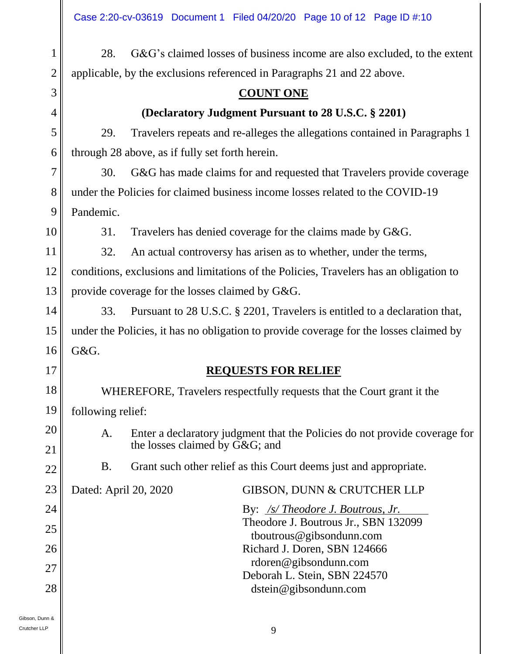28. G&G's claimed losses of business income are also excluded, to the extent applicable, by the exclusions referenced in Paragraphs 21 and 22 above.

### **COUNT ONE**

## **(Declaratory Judgment Pursuant to 28 U.S.C. § 2201)**

29. Travelers repeats and re-alleges the allegations contained in Paragraphs 1 through 28 above, as if fully set forth herein.

30. G&G has made claims for and requested that Travelers provide coverage under the Policies for claimed business income losses related to the COVID-19 Pandemic.

10

11

17

18

19

21

22

24

25

26

27

28

1

2

3

4

5

6

7

8

9

31. Travelers has denied coverage for the claims made by G&G.

32. An actual controversy has arisen as to whether, under the terms,

12 13 conditions, exclusions and limitations of the Policies, Travelers has an obligation to provide coverage for the losses claimed by G&G.

14 15 16 33. Pursuant to 28 U.S.C. § 2201, Travelers is entitled to a declaration that, under the Policies, it has no obligation to provide coverage for the losses claimed by G&G.

# **REQUESTS FOR RELIEF**

WHEREFORE, Travelers respectfully requests that the Court grant it the following relief:

20

A. Enter a declaratory judgment that the Policies do not provide coverage for the losses claimed by G&G; and

B. Grant such other relief as this Court deems just and appropriate.

23

Dated: April 20, 2020 GIBSON, DUNN & CRUTCHER LLP

By: */s/ Theodore J. Boutrous, Jr.*  Theodore J. Boutrous Jr., SBN 132099 tboutrous@gibsondunn.com Richard J. Doren, SBN 124666 rdoren@gibsondunn.com Deborah L. Stein, SBN 224570 dstein@gibsondunn.com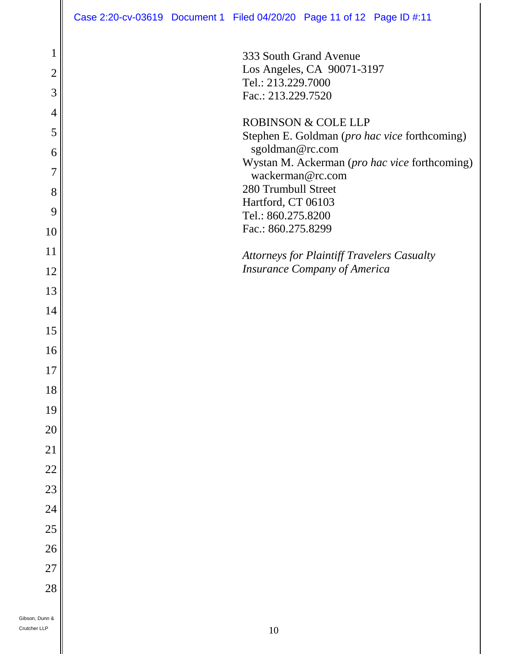| $\mathbf 1$    | 333 South Grand Avenue                                                          |
|----------------|---------------------------------------------------------------------------------|
| $\overline{2}$ | Los Angeles, CA 90071-3197                                                      |
| 3              | Tel.: 213.229.7000<br>Fac.: 213.229.7520                                        |
| $\overline{4}$ |                                                                                 |
| 5              | <b>ROBINSON &amp; COLE LLP</b><br>Stephen E. Goldman (pro hac vice forthcoming) |
| 6              | sgoldman@rc.com                                                                 |
| 7              | Wystan M. Ackerman (pro hac vice forthcoming)<br>wackerman@rc.com               |
| 8              | 280 Trumbull Street                                                             |
| 9              | Hartford, CT 06103<br>Tel.: 860.275.8200                                        |
| 10             | Fac.: 860.275.8299                                                              |
| 11             | <b>Attorneys for Plaintiff Travelers Casualty</b>                               |
| 12             | <b>Insurance Company of America</b>                                             |
| 13             |                                                                                 |
| 14             |                                                                                 |
| 15             |                                                                                 |
| 16             |                                                                                 |
| 17             |                                                                                 |
| 18             |                                                                                 |
| 19             |                                                                                 |
| 20             |                                                                                 |
| 21             |                                                                                 |
| $22\,$         |                                                                                 |
| 23             |                                                                                 |
| 24             |                                                                                 |
| 25             |                                                                                 |
| 26             |                                                                                 |
| $27\,$         |                                                                                 |
| 28             |                                                                                 |
| unn &          |                                                                                 |
|                |                                                                                 |